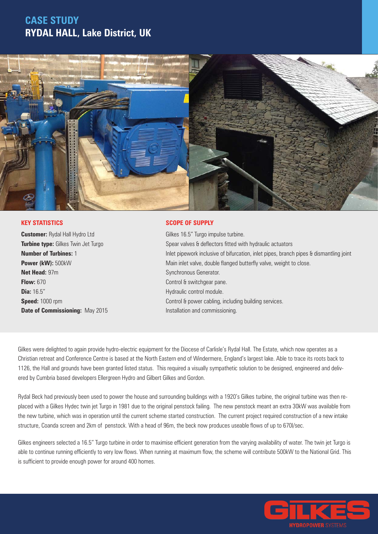## **CASE STUDY RYDAL HALL, Lake District, UK**



#### **KEY STATISTICS**

**Customer:** Rydal Hall Hydro Ltd **Turbine type:** Gilkes Twin Jet Turgo **Number of Turbines:** 1 **Power (kW):** 500kW **Net Head:** 97m **Flow:** 670 **Dia:** 16.5" **Speed:** 1000 rpm **Date of Commissioning:** May 2015

### **SCOPE OF SUPPLY**

Gilkes 16.5" Turgo impulse turbine. Spear valves & deflectors fitted with hydraulic actuators Inlet pipework inclusive of bifurcation, inlet pipes, branch pipes & dismantling joint Main inlet valve, double flanged butterfly valve, weight to close. Synchronous Generator. Control & switchgear pane. Hydraulic control module. Control & power cabling, including building services. Installation and commissioning.

Gilkes were delighted to again provide hydro-electric equipment for the Diocese of Carlisle's Rydal Hall. The Estate, which now operates as a Christian retreat and Conference Centre is based at the North Eastern end of Windermere, England's largest lake. Able to trace its roots back to 1126, the Hall and grounds have been granted listed status. This required a visually sympathetic solution to be designed, engineered and delivered by Cumbria based developers Ellergreen Hydro and Gilbert Gilkes and Gordon.

Rydal Beck had previously been used to power the house and surrounding buildings with a 1920's Gilkes turbine, the original turbine was then replaced with a Gilkes Hydec twin jet Turgo in 1981 due to the original penstock failing. The new penstock meant an extra 30kW was available from the new turbine, which was in operation until the current scheme started construction. The current project required construction of a new intake structure, Coanda screen and 2km of penstock. With a head of 96m, the beck now produces useable flows of up to 670l/sec.

Gilkes engineers selected a 16.5" Turgo turbine in order to maximise efficient generation from the varying availability of water. The twin jet Turgo is able to continue running efficiently to very low flows. When running at maximum flow, the scheme will contribute 500kW to the National Grid. This is sufficient to provide enough power for around 400 homes.